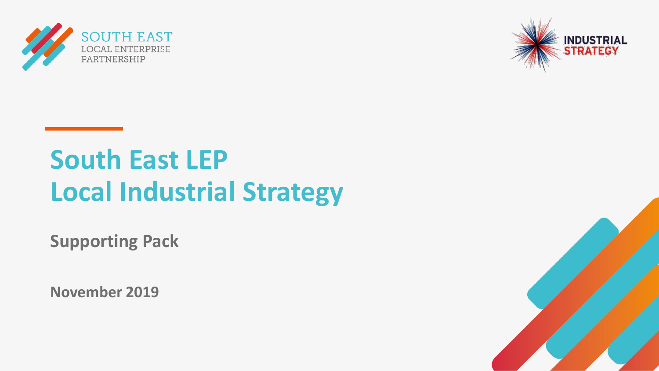



# **South East LEP Local Industrial Strategy**

**Supporting Pack**

**November 2019**

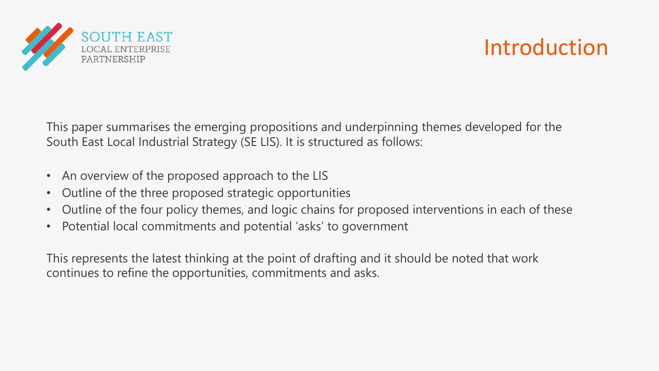

### Introduction

This paper summarises the emerging propositions and underpinning themes developed for the South East Local Industrial Strategy (SE LIS). It is structured as follows:

- An overview of the proposed approach to the LIS
- Outline of the three proposed strategic opportunities
- Outline of the four policy themes, and logic chains for proposed interventions in each of these
- Potential local commitments and potential 'asks' to government

This represents the latest thinking at the point of drafting and it should be noted that work continues to refine the opportunities, commitments and asks.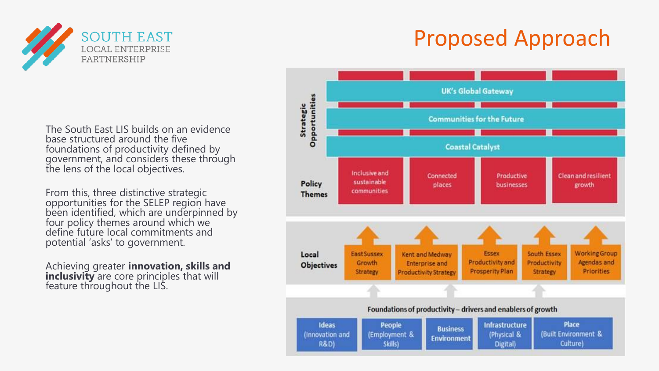

## Proposed Approach

The South East LIS builds on an evidence base structured around the five foundations of productivity defined by government, and considers these through the lens of the local objectives.

From this, three distinctive strategic opportunities for the SELEP region have been identified, which are underpinned by four policy themes around which we define future local commitments and potential 'asks' to government.

Achieving greater **innovation, skills and inclusivity** are core principles that will feature throughout the LIS.

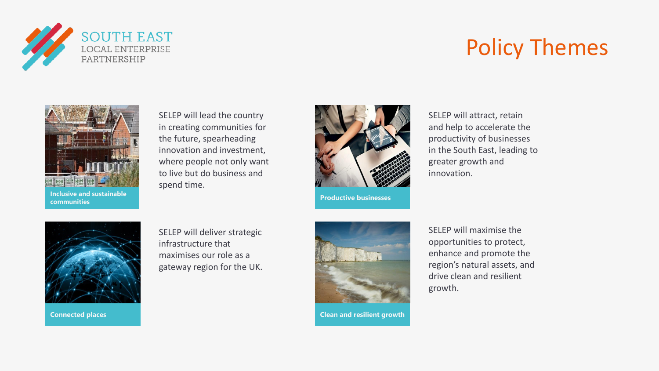

### Policy Themes



SELEP will lead the country in creating communities for the future, spearheading innovation and investment, where people not only want to live but do business and spend time.



**Productive businesses**

SELEP will attract, retain and help to accelerate the productivity of businesses in the South East, leading to greater growth and innovation.

SELEP will deliver strategic infrastructure that maximises our role as a gateway region for the UK.



**Connected places Connected places Connected places Connected places Clean and resilient growth** 

SELEP will maximise the opportunities to protect, enhance and promote the region's natural assets, and drive clean and resilient growth.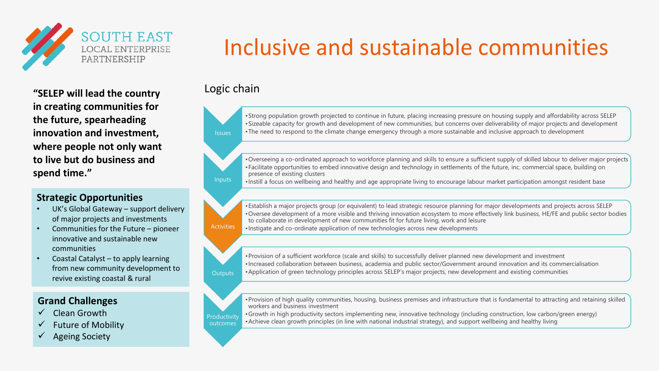

**"SELEP will lead the country in creating communities for the future, spearheading innovation and investment, where people not only want to live but do business and spend time."**

#### **Strategic Opportunities**

- UK's Global Gateway support delivery of major projects and investments
- Communities for the Future pioneer innovative and sustainable new communities
- Coastal Catalyst to apply learning from new community development to revive existing coastal & rural

#### **Grand Challenges**

- Clean Growth
- Future of Mobility
- **Ageing Society**

## Inclusive and sustainable communities

Logic chain



•Strong population growth projected to continue in future, placing increasing pressure on housing supply and affordability across SELEP •Sizeable capacity for growth and development of new communities, but concerns over deliverability of major projects and development •The need to respond to the climate change emergency through a more sustainable and inclusive approach to development

•Overseeing a co-ordinated approach to workforce planning and skills to ensure a sufficient supply of skilled labour to deliver major projects •Facilitate opportunities to embed innovative design and technology in settlements of the future, inc. commercial space, building on presence of existing clusters

Inputs •Instill a focus on wellbeing and healthy and age appropriate living to encourage labour market participation amongst resident base

•Establish a major projects group (or equivalent) to lead strategic resource planning for major developments and projects across SELEP •Oversee development of a more visible and thriving innovation ecosystem to more effectively link business, HE/FE and public sector bodies to collaborate in development of new communities fit for future living, work and leisure •Instigate and co-ordinate application of new technologies across new developments

**Outputs** •Provision of a sufficient workforce (scale and skills) to successfully deliver planned new development and investment •Increased collaboration between business, academia and public sector/Government around innovation and its commercialisation •Application of green technology principles across SELEP's major projects, new development and existing communities



**Activities** 

•Provision of high quality communities, housing, business premises and infrastructure that is fundamental to attracting and retaining skilled workers and business investment

•Growth in high productivity sectors implementing new, innovative technology (including construction, low carbon/green energy) •Achieve clean growth principles (in line with national industrial strategy), and support wellbeing and healthy living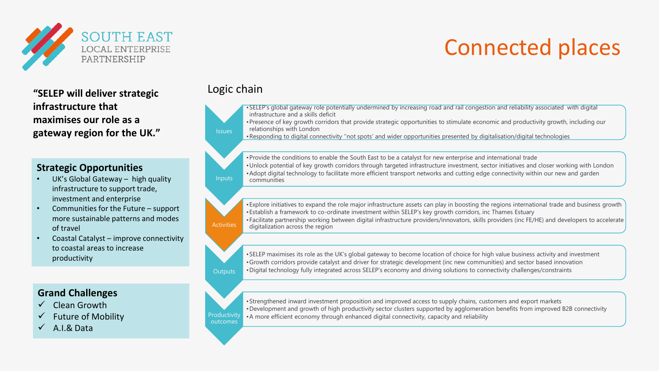

**"SELEP will deliver strategic infrastructure that maximises our role as a gateway region for the UK."** Issues

#### **Strategic Opportunities**

- UK's Global Gateway high quality infrastructure to support trade, investment and enterprise
- Communities for the Future support more sustainable patterns and modes of travel
- Coastal Catalyst improve connectivity to coastal areas to increase productivity

#### **Grand Challenges**

- ✓ Clean Growth
- **Future of Mobility**
- $\checkmark$  A.I.& Data

#### Logic chain

•SELEP's global gateway role potentially undermined by increasing road and rail congestion and reliability associated with digital infrastructure and a skills deficit

Connected places

•Presence of key growth corridors that provide strategic opportunities to stimulate economic and productivity growth, including our relationships with London

•Responding to digital connectivity ''not spots' and wider opportunities presented by digitalisation/digital technologies

**Inputs** •Provide the conditions to enable the South East to be a catalyst for new enterprise and international trade •Unlock potential of key growth corridors through targeted infrastructure investment, sector initiatives and closer working with London •Adopt digital technology to facilitate more efficient transport networks and cutting edge connectivity within our new and garden communities

**Activities** •Explore initiatives to expand the role major infrastructure assets can play in boosting the regions international trade and business growth •Establish a framework to co-ordinate investment within SELEP's key growth corridors, inc Thames Estuary •Facilitate partnership working between digital infrastructure providers/innovators, skills providers (inc FE/HE) and developers to accelerate digitalization across the region

**Outputs** •SELEP maximises its role as the UK's global gateway to become location of choice for high value business activity and investment •Growth corridors provide catalyst and driver for strategic development (inc new communities) and sector based innovation •Digital technology fully integrated across SELEP's economy and driving solutions to connectivity challenges/constraints



•Strengthened inward investment proposition and improved access to supply chains, customers and export markets •Development and growth of high productivity sector clusters supported by agglomeration benefits from improved B2B connectivity •A more efficient economy through enhanced digital connectivity, capacity and reliability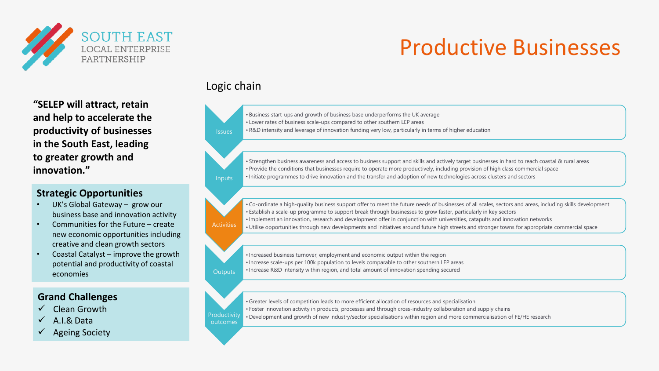

### Productive Businesses

**"SELEP will attract, retain and help to accelerate the productivity of businesses in the South East, leading to greater growth and innovation."**

#### **Strategic Opportunities**

- UK's Global Gateway grow our business base and innovation activity
- Communities for the Future create new economic opportunities including creative and clean growth sectors
- Coastal Catalyst improve the growth potential and productivity of coastal economies

#### **Grand Challenges**

- ✓ Clean Growth
- $\checkmark$  A.I.& Data
- Ageing Society

Logic chain

**Inpu** 

Activ

| <b>Issues</b> | . Business start-ups and growth of business base underperforms the UK average<br>. Lower rates of business scale-ups compared to other southern LEP areas<br>• R&D intensity and leverage of innovation funding very low, particularly in terms of higher education                 |
|---------------|-------------------------------------------------------------------------------------------------------------------------------------------------------------------------------------------------------------------------------------------------------------------------------------|
|               |                                                                                                                                                                                                                                                                                     |
|               | • Strengthen business awareness and access to business support and skills and actively target businesses in hard to reach coastal & rural areas<br>• Provide the conditions that businesses require to operate more productively including provision of high class commercial space |

| buchquich business awalchess and access to business support and skins and acuvery target businesses in nard to reach coastar ocrurar area |
|-------------------------------------------------------------------------------------------------------------------------------------------|
| • Provide the conditions that businesses require to operate more productively, including provision of high class commercial space         |
| If thitiate programmes to drive innovation and the transfer and adoption of new technologies across clusters and sectors **               |

|      | •Co-ordinate a high-quality business support offer to meet the future needs of businesses of all scales, sectors and areas, including skills development |
|------|----------------------------------------------------------------------------------------------------------------------------------------------------------|
|      | • Establish a scale-up programme to support break through businesses to grow faster, particularly in key sectors                                         |
|      | • Implement an innovation, research and development offer in conjunction with universities, catapults and innovation networks                            |
| ties | • Utilise opportunities through new developments and initiatives around future high streets and stronger towns for appropriate commercial space          |
|      |                                                                                                                                                          |

**Outputs** • Increased business turnover, employment and economic output within the region • Increase scale-ups per 100k population to levels comparable to other southern LEP areas • Increase R&D intensity within region, and total amount of innovation spending secured

**Productivity** outcomes •Greater levels of competition leads to more efficient allocation of resources and specialisation • Foster innovation activity in products, processes and through cross-industry collaboration and supply chains • Development and growth of new industry/sector specialisations within region and more commercialisation of FE/HE research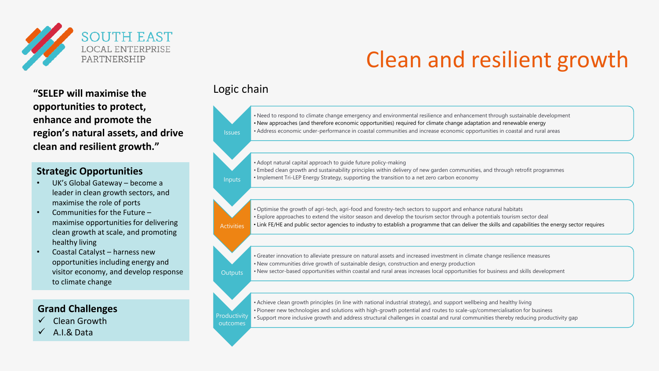

Clean and resilient growth

**"SELEP will maximise the opportunities to protect, enhance and promote the region's natural assets, and drive clean and resilient growth."**

#### **Strategic Opportunities**

- UK's Global Gateway become a leader in clean growth sectors, and maximise the role of ports
- Communities for the Future maximise opportunities for delivering clean growth at scale, and promoting healthy living
- Coastal Catalyst harness new opportunities including energy and visitor economy, and develop response to climate change

#### **Grand Challenges**

- $\checkmark$  Clean Growth
- ✓ A.I.& Data

#### Logic chain



- Optimise the growth of agri-tech, agri-food and forestry-tech sectors to support and enhance natural habitats
- Explore approaches to extend the visitor season and develop the tourism sector through a potentials tourism sector deal
- **Activities** • Link FE/HE and public sector agencies to industry to establish a programme that can deliver the skills and capabilities the energy sector requires

|                | • Greater innovation to alleviate pressure on natural assets and increased investment in climate change resilience measures       |
|----------------|-----------------------------------------------------------------------------------------------------------------------------------|
|                | $\cdot$ New communities drive growth of sustainable design, construction and energy production                                    |
| <b>Outputs</b> | • New sector-based opportunities within coastal and rural areas increases local opportunities for business and skills development |



•Achieve clean growth principles (in line with national industrial strategy), and support wellbeing and healthy living • Pioneer new technologies and solutions with high-growth potential and routes to scale-up/commercialisation for business • Support more inclusive growth and address structural challenges in coastal and rural communities thereby reducing productivity gap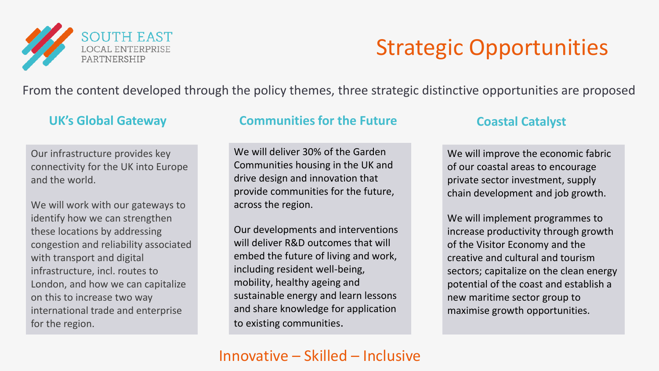

### Strategic Opportunities

From the content developed through the policy themes, three strategic distinctive opportunities are proposed

Our infrastructure provides key connectivity for the UK into Europe and the world.

We will work with our gateways to identify how we can strengthen these locations by addressing congestion and reliability associated with transport and digital infrastructure, incl. routes to London, and how we can capitalize on this to increase two way international trade and enterprise for the region.

### **UK's Global Gateway <b>Communities for the Future Coastal Catalyst Coastal Catalyst**

We will deliver 30% of the Garden Communities housing in the UK and drive design and innovation that provide communities for the future, across the region.

Our developments and interventions will deliver R&D outcomes that will embed the future of living and work, including resident well-being, mobility, healthy ageing and sustainable energy and learn lessons and share knowledge for application to existing communities.

We will improve the economic fabric of our coastal areas to encourage private sector investment, supply chain development and job growth.

We will implement programmes to increase productivity through growth of the Visitor Economy and the creative and cultural and tourism sectors; capitalize on the clean energy potential of the coast and establish a new maritime sector group to maximise growth opportunities.

### Innovative – Skilled – Inclusive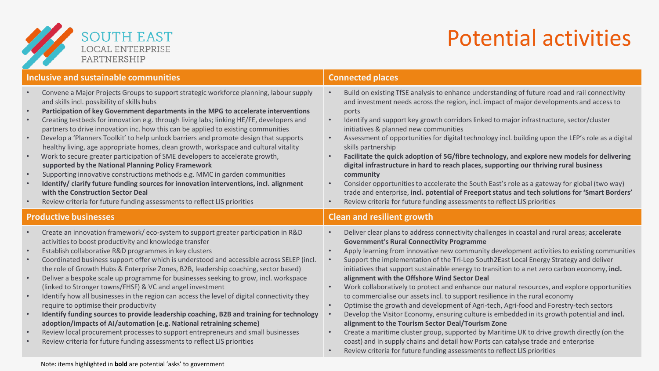

### Potential activities

| <b>Inclusive and sustainable communities</b>     |                                                                                                                                                                                                                                                                                                                                                                                                                                                                                                                                                                                                                                                                                                                                                                                                                                                                                                                                                                                                                              | <b>Connected places</b>                                                                                                                                                                                                                                                                                                                                                                                                                                                                                                                                                                                                                                                                                                                                                                                                                                                                                                                                                                                                                                                                                                                     |  |
|--------------------------------------------------|------------------------------------------------------------------------------------------------------------------------------------------------------------------------------------------------------------------------------------------------------------------------------------------------------------------------------------------------------------------------------------------------------------------------------------------------------------------------------------------------------------------------------------------------------------------------------------------------------------------------------------------------------------------------------------------------------------------------------------------------------------------------------------------------------------------------------------------------------------------------------------------------------------------------------------------------------------------------------------------------------------------------------|---------------------------------------------------------------------------------------------------------------------------------------------------------------------------------------------------------------------------------------------------------------------------------------------------------------------------------------------------------------------------------------------------------------------------------------------------------------------------------------------------------------------------------------------------------------------------------------------------------------------------------------------------------------------------------------------------------------------------------------------------------------------------------------------------------------------------------------------------------------------------------------------------------------------------------------------------------------------------------------------------------------------------------------------------------------------------------------------------------------------------------------------|--|
| $\bullet$<br>$\bullet$<br>$\bullet$<br>$\bullet$ | Convene a Major Projects Groups to support strategic workforce planning, labour supply<br>and skills incl. possibility of skills hubs<br>Participation of key Government departments in the MPG to accelerate interventions<br>Creating testbeds for innovation e.g. through living labs; linking HE/FE, developers and<br>partners to drive innovation inc. how this can be applied to existing communities<br>Develop a 'Planners Toolkit' to help unlock barriers and promote design that supports<br>healthy living, age appropriate homes, clean growth, workspace and cultural vitality<br>Work to secure greater participation of SME developers to accelerate growth,<br>supported by the National Planning Policy Framework<br>Supporting innovative constructions methods e.g. MMC in garden communities<br>Identify/clarify future funding sources for innovation interventions, incl. alignment<br>with the Construction Sector Deal<br>Review criteria for future funding assessments to reflect LIS priorities | Build on existing TfSE analysis to enhance understanding of future road and rail connectivity<br>and investment needs across the region, incl. impact of major developments and access to<br>ports<br>Identify and support key growth corridors linked to major infrastructure, sector/cluster<br>$\bullet$<br>initiatives & planned new communities<br>Assessment of opportunities for digital technology incl. building upon the LEP's role as a digital<br>skills partnership<br>Facilitate the quick adoption of 5G/fibre technology, and explore new models for delivering<br>$\bullet$<br>digital infrastructure in hard to reach places, supporting our thriving rural business<br>community<br>Consider opportunities to accelerate the South East's role as a gateway for global (two way)<br>$\bullet$<br>trade and enterprise, incl. potential of Freeport status and tech solutions for 'Smart Borders'<br>Review criteria for future funding assessments to reflect LIS priorities                                                                                                                                             |  |
| <b>Productive businesses</b>                     |                                                                                                                                                                                                                                                                                                                                                                                                                                                                                                                                                                                                                                                                                                                                                                                                                                                                                                                                                                                                                              | <b>Clean and resilient growth</b>                                                                                                                                                                                                                                                                                                                                                                                                                                                                                                                                                                                                                                                                                                                                                                                                                                                                                                                                                                                                                                                                                                           |  |
|                                                  | Create an innovation framework/eco-system to support greater participation in R&D                                                                                                                                                                                                                                                                                                                                                                                                                                                                                                                                                                                                                                                                                                                                                                                                                                                                                                                                            | Deliver clear plans to address connectivity challenges in coastal and rural areas; accelerate<br>$\bullet$                                                                                                                                                                                                                                                                                                                                                                                                                                                                                                                                                                                                                                                                                                                                                                                                                                                                                                                                                                                                                                  |  |
| $\bullet$<br>$\bullet$<br>$\bullet$              | activities to boost productivity and knowledge transfer<br>Establish collaborative R&D programmes in key clusters<br>Coordinated business support offer which is understood and accessible across SELEP (incl.<br>the role of Growth Hubs & Enterprise Zones, B2B, leadership coaching, sector based)<br>Deliver a bespoke scale up programme for businesses seeking to grow, incl. workspace<br>(linked to Stronger towns/FHSF) & VC and angel investment<br>Identify how all businesses in the region can access the level of digital connectivity they<br>require to optimise their productivity<br>Identify funding sources to provide leadership coaching, B2B and training for technology<br>adoption/impacts of AI/automation (e.g. National retraining scheme)<br>Review local procurement processes to support entrepreneurs and small businesses<br>Review criteria for future funding assessments to reflect LIS priorities                                                                                       | <b>Government's Rural Connectivity Programme</b><br>Apply learning from innovative new community development activities to existing communities<br>$\bullet$<br>Support the implementation of the Tri-Lep South2East Local Energy Strategy and deliver<br>initiatives that support sustainable energy to transition to a net zero carbon economy, incl.<br>alignment with the Offshore Wind Sector Deal<br>Work collaboratively to protect and enhance our natural resources, and explore opportunities<br>$\bullet$<br>to commercialise our assets incl. to support resilience in the rural economy<br>Optimise the growth and development of Agri-tech, Agri-food and Forestry-tech sectors<br>Develop the Visitor Economy, ensuring culture is embedded in its growth potential and incl.<br>alignment to the Tourism Sector Deal/Tourism Zone<br>Create a maritime cluster group, supported by Maritime UK to drive growth directly (on the<br>$\bullet$<br>coast) and in supply chains and detail how Ports can catalyse trade and enterprise<br>Review criteria for future funding assessments to reflect LIS priorities<br>$\bullet$ |  |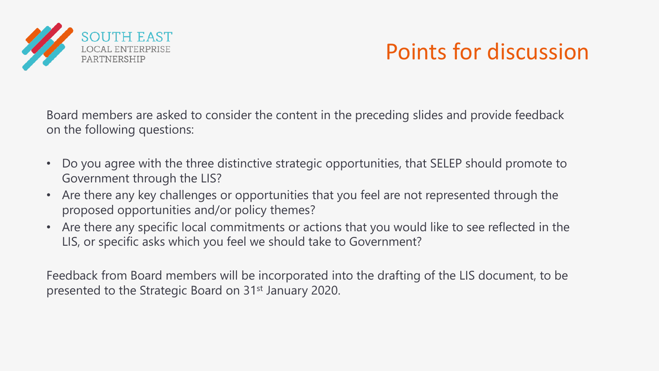

### Points for discussion

Board members are asked to consider the content in the preceding slides and provide feedback on the following questions:

- Do you agree with the three distinctive strategic opportunities, that SELEP should promote to Government through the LIS?
- Are there any key challenges or opportunities that you feel are not represented through the proposed opportunities and/or policy themes?
- Are there any specific local commitments or actions that you would like to see reflected in the LIS, or specific asks which you feel we should take to Government?

Feedback from Board members will be incorporated into the drafting of the LIS document, to be presented to the Strategic Board on 31st January 2020.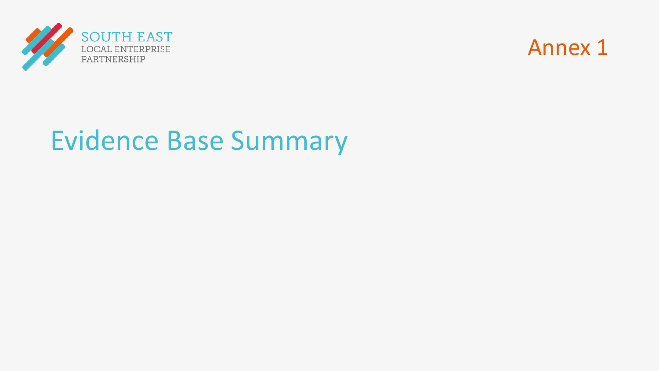



# Evidence Base Summary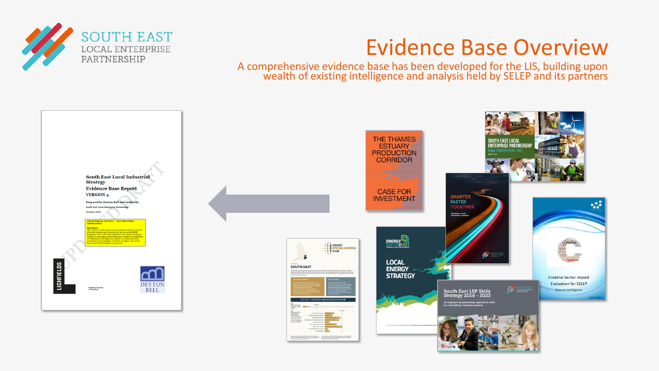

A comprehensive evidence base has been developed for the LIS, building upon wealth of existing intelligence and analysis held by SELEP and its partners

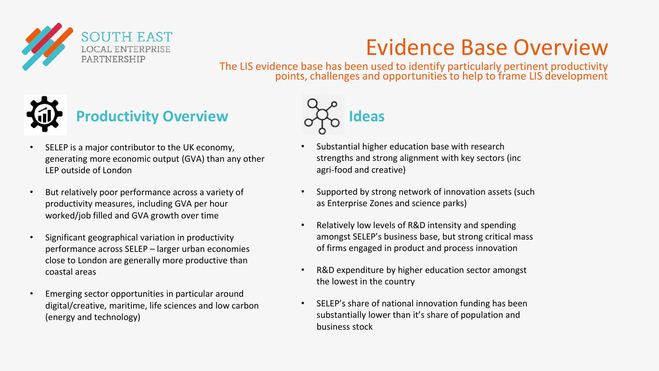

The LIS evidence base has been used to identify particularly pertinent productivity points, challenges and opportunities to help to frame LIS development



### **Productivity Overview**

- SELEP is a major contributor to the UK economy, generating more economic output (GVA) than any other LEP outside of London
- But relatively poor performance across a variety of productivity measures, including GVA per hour worked/job filled and GVA growth over time
- Significant geographical variation in productivity performance across SELEP – larger urban economies close to London are generally more productive than coastal areas
- Emerging sector opportunities in particular around digital/creative, maritime, life sciences and low carbon (energy and technology)



- Substantial higher education base with research strengths and strong alignment with key sectors (inc agri-food and creative)
- Supported by strong network of innovation assets (such as Enterprise Zones and science parks)
- Relatively low levels of R&D intensity and spending amongst SELEP's business base, but strong critical mass of firms engaged in product and process innovation
- R&D expenditure by higher education sector amongst the lowest in the country
- SELEP's share of national innovation funding has been substantially lower than it's share of population and business stock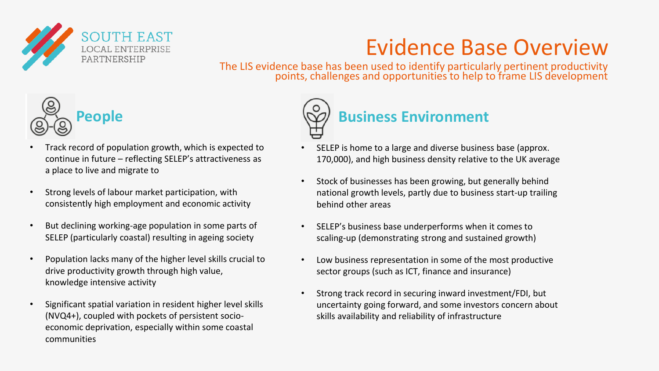

The LIS evidence base has been used to identify particularly pertinent productivity points, challenges and opportunities to help to frame LIS development



- Track record of population growth, which is expected to continue in future – reflecting SELEP's attractiveness as a place to live and migrate to
- Strong levels of labour market participation, with consistently high employment and economic activity
- But declining working-age population in some parts of SELEP (particularly coastal) resulting in ageing society
- Population lacks many of the higher level skills crucial to drive productivity growth through high value, knowledge intensive activity
- Significant spatial variation in resident higher level skills (NVQ4+), coupled with pockets of persistent socioeconomic deprivation, especially within some coastal communities



- SELEP is home to a large and diverse business base (approx. 170,000), and high business density relative to the UK average
- Stock of businesses has been growing, but generally behind national growth levels, partly due to business start-up trailing behind other areas
- SELEP's business base underperforms when it comes to scaling-up (demonstrating strong and sustained growth)
- Low business representation in some of the most productive sector groups (such as ICT, finance and insurance)
- Strong track record in securing inward investment/FDI, but uncertainty going forward, and some investors concern about skills availability and reliability of infrastructure